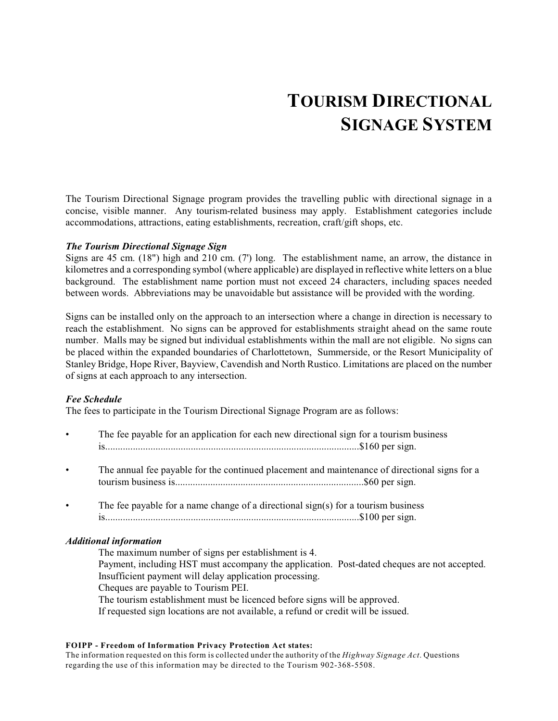# **TOURISM DIRECTIONAL SIGNAGE SYSTEM**

The Tourism Directional Signage program provides the travelling public with directional signage in a concise, visible manner. Any tourism-related business may apply. Establishment categories include accommodations, attractions, eating establishments, recreation, craft/gift shops, etc.

# *The Tourism Directional Signage Sign*

Signs are 45 cm. (18") high and 210 cm. (7') long. The establishment name, an arrow, the distance in kilometres and a corresponding symbol (where applicable) are displayed in reflective white letters on a blue background. The establishment name portion must not exceed 24 characters, including spaces needed between words. Abbreviations may be unavoidable but assistance will be provided with the wording.

Signs can be installed only on the approach to an intersection where a change in direction is necessary to reach the establishment. No signs can be approved for establishments straight ahead on the same route number. Malls may be signed but individual establishments within the mall are not eligible. No signs can be placed within the expanded boundaries of Charlottetown, Summerside, or the Resort Municipality of Stanley Bridge, Hope River, Bayview, Cavendish and North Rustico. Limitations are placed on the number of signs at each approach to any intersection.

### *Fee Schedule*

The fees to participate in the Tourism Directional Signage Program are as follows:

- The fee payable for an application for each new directional sign for a tourism business is.....................................................................................................\$160 per sign.
- The annual fee payable for the continued placement and maintenance of directional signs for a tourism business is...........................................................................\$60 per sign.
- The fee payable for a name change of a directional sign(s) for a tourism business is.....................................................................................................\$100 per sign.

### *Additional information*

The maximum number of signs per establishment is 4. Payment, including HST must accompany the application. Post-dated cheques are not accepted. Insufficient payment will delay application processing. Cheques are payable to Tourism PEI. The tourism establishment must be licenced before signs will be approved. If requested sign locations are not available, a refund or credit will be issued.

#### **FOIPP - Freedom of Information Privacy Protection Act states:**

The information requested on this form is collected under the authority of the *Highway Signage Act*. Questions regarding the use of this information may be directed to the Tourism 902-368-5508.